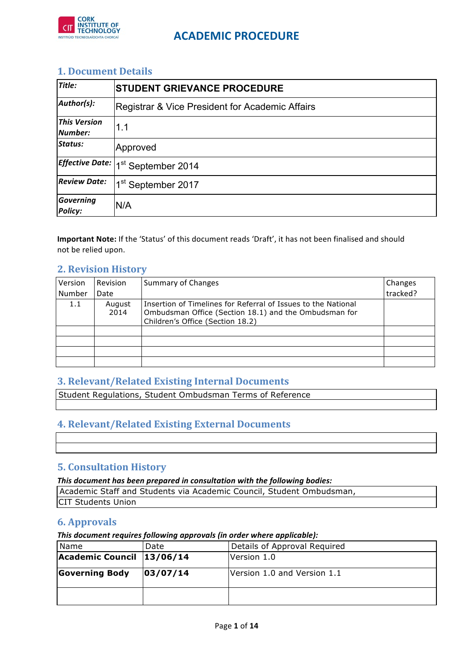

### **1. Document Details**

| Title:                         | <b>STUDENT GRIEVANCE PROCEDURE</b>              |  |
|--------------------------------|-------------------------------------------------|--|
| Author(s):                     | Registrar & Vice President for Academic Affairs |  |
| <b>This Version</b><br>Number: | 1.1                                             |  |
| <b>Status:</b>                 | Approved                                        |  |
|                                | Effective Date:  1 <sup>st</sup> September 2014 |  |
| <b>Review Date:</b>            | 1 <sup>st</sup> September 2017                  |  |
| Governing<br><b>Policy:</b>    | N/A                                             |  |

Important Note: If the 'Status' of this document reads 'Draft', it has not been finalised and should not be relied upon.

### **2. Revision History**

| Version | Revision       | <b>Summary of Changes</b>                                                                                                                                  | Changes  |
|---------|----------------|------------------------------------------------------------------------------------------------------------------------------------------------------------|----------|
| Number  | Date           |                                                                                                                                                            | tracked? |
| 1.1     | August<br>2014 | Insertion of Timelines for Referral of Issues to the National<br>Ombudsman Office (Section 18.1) and the Ombudsman for<br>Children's Office (Section 18.2) |          |
|         |                |                                                                                                                                                            |          |
|         |                |                                                                                                                                                            |          |
|         |                |                                                                                                                                                            |          |
|         |                |                                                                                                                                                            |          |

### **3. Relevant/Related Existing Internal Documents**

Student Regulations, Student Ombudsman Terms of Reference

### **4. Relevant/Related Existing External Documents**

### **5. Consultation History**

#### This document has been prepared in consultation with the following bodies:

Academic Staff and Students via Academic Council, Student Ombudsman, CIT Students Union

### **6. Approvals**

This document requires following approvals (in order where applicable):

| Name                       | Date     | Details of Approval Required |
|----------------------------|----------|------------------------------|
| Academic Council  13/06/14 |          | Version 1.0                  |
| <b>Governing Body</b>      | 03/07/14 | Version 1.0 and Version 1.1  |
|                            |          |                              |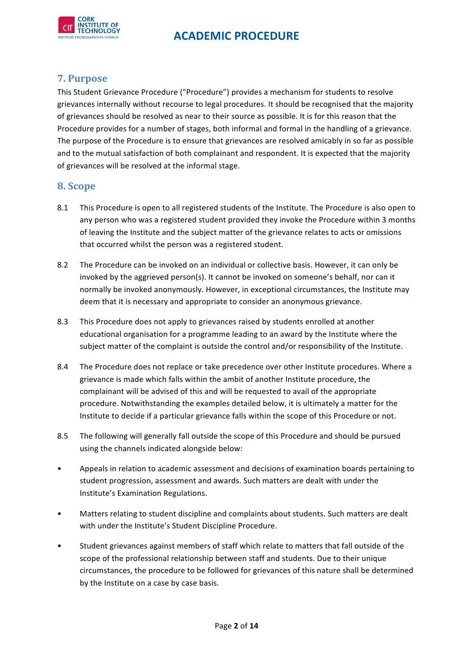

### **7. Purpose**

This Student Grievance Procedure ("Procedure") provides a mechanism for students to resolve grievances internally without recourse to legal procedures. It should be recognised that the majority of grievances should be resolved as near to their source as possible. It is for this reason that the Procedure provides for a number of stages, both informal and formal in the handling of a grievance. The purpose of the Procedure is to ensure that grievances are resolved amicably in so far as possible and to the mutual satisfaction of both complainant and respondent. It is expected that the majority of grievances will be resolved at the informal stage.

### **8. Scope**

- 8.1 This Procedure is open to all registered students of the Institute. The Procedure is also open to any person who was a registered student provided they invoke the Procedure within 3 months of leaving the Institute and the subject matter of the grievance relates to acts or omissions that occurred whilst the person was a registered student.
- 8.2 The Procedure can be invoked on an individual or collective basis. However, it can only be invoked by the aggrieved person(s). It cannot be invoked on someone's behalf, nor can it normally be invoked anonymously. However, in exceptional circumstances, the Institute may deem that it is necessary and appropriate to consider an anonymous grievance.
- 8.3 This Procedure does not apply to grievances raised by students enrolled at another educational organisation for a programme leading to an award by the Institute where the subject matter of the complaint is outside the control and/or responsibility of the Institute.
- 8.4 The Procedure does not replace or take precedence over other Institute procedures. Where a grievance is made which falls within the ambit of another Institute procedure, the complainant will be advised of this and will be requested to avail of the appropriate procedure. Notwithstanding the examples detailed below, it is ultimately a matter for the Institute to decide if a particular grievance falls within the scope of this Procedure or not.
- 8.5 The following will generally fall outside the scope of this Procedure and should be pursued using the channels indicated alongside below:
- Appeals in relation to academic assessment and decisions of examination boards pertaining to student progression, assessment and awards. Such matters are dealt with under the Institute's Examination Regulations.
- Matters relating to student discipline and complaints about students. Such matters are dealt with under the Institute's Student Discipline Procedure.
- Student grievances against members of staff which relate to matters that fall outside of the scope of the professional relationship between staff and students. Due to their unique circumstances, the procedure to be followed for grievances of this nature shall be determined by the Institute on a case by case basis.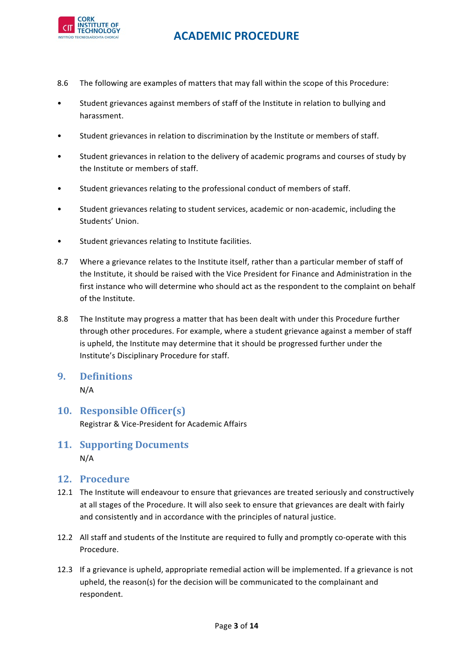

- 8.6 The following are examples of matters that may fall within the scope of this Procedure:
- Student grievances against members of staff of the Institute in relation to bullying and harassment.
- Student grievances in relation to discrimination by the Institute or members of staff.
- Student grievances in relation to the delivery of academic programs and courses of study by the Institute or members of staff.
- Student grievances relating to the professional conduct of members of staff.
- Student grievances relating to student services, academic or non-academic, including the Students' Union.
- Student grievances relating to Institute facilities.
- 8.7 Where a grievance relates to the Institute itself, rather than a particular member of staff of the Institute, it should be raised with the Vice President for Finance and Administration in the first instance who will determine who should act as the respondent to the complaint on behalf of the Institute.
- 8.8 The Institute may progress a matter that has been dealt with under this Procedure further through other procedures. For example, where a student grievance against a member of staff is upheld, the Institute may determine that it should be progressed further under the Institute's Disciplinary Procedure for staff.
- **9. Definitions** N/A
- **10. Responsible Officer(s)** Registrar & Vice-President for Academic Affairs
- **11. Supporting Documents** N/A
- **12. Procedure**
- 12.1 The Institute will endeavour to ensure that grievances are treated seriously and constructively at all stages of the Procedure. It will also seek to ensure that grievances are dealt with fairly and consistently and in accordance with the principles of natural justice.
- 12.2 All staff and students of the Institute are required to fully and promptly co-operate with this Procedure.
- 12.3 If a grievance is upheld, appropriate remedial action will be implemented. If a grievance is not upheld, the reason(s) for the decision will be communicated to the complainant and respondent.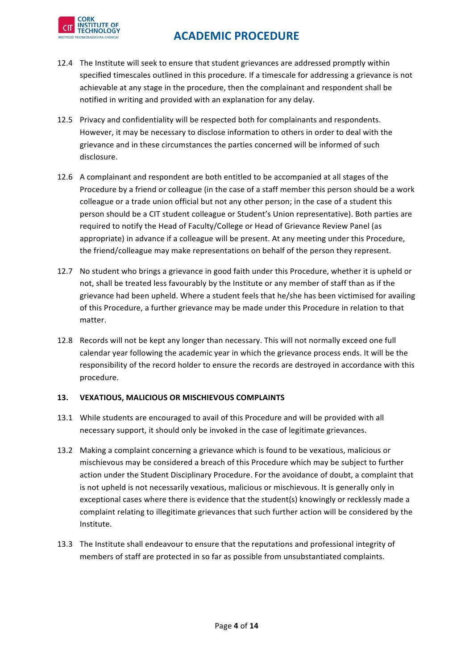

- 12.4 The Institute will seek to ensure that student grievances are addressed promptly within specified timescales outlined in this procedure. If a timescale for addressing a grievance is not achievable at any stage in the procedure, then the complainant and respondent shall be notified in writing and provided with an explanation for any delay.
- 12.5 Privacy and confidentiality will be respected both for complainants and respondents. However, it may be necessary to disclose information to others in order to deal with the grievance and in these circumstances the parties concerned will be informed of such disclosure.
- 12.6 A complainant and respondent are both entitled to be accompanied at all stages of the Procedure by a friend or colleague (in the case of a staff member this person should be a work colleague or a trade union official but not any other person; in the case of a student this person should be a CIT student colleague or Student's Union representative). Both parties are required to notify the Head of Faculty/College or Head of Grievance Review Panel (as appropriate) in advance if a colleague will be present. At any meeting under this Procedure, the friend/colleague may make representations on behalf of the person they represent.
- 12.7 No student who brings a grievance in good faith under this Procedure, whether it is upheld or not, shall be treated less favourably by the Institute or any member of staff than as if the grievance had been upheld. Where a student feels that he/she has been victimised for availing of this Procedure, a further grievance may be made under this Procedure in relation to that matter.
- 12.8 Records will not be kept any longer than necessary. This will not normally exceed one full calendar year following the academic year in which the grievance process ends. It will be the responsibility of the record holder to ensure the records are destroyed in accordance with this procedure.

### 13. **VEXATIOUS, MALICIOUS OR MISCHIEVOUS COMPLAINTS**

- 13.1 While students are encouraged to avail of this Procedure and will be provided with all necessary support, it should only be invoked in the case of legitimate grievances.
- 13.2 Making a complaint concerning a grievance which is found to be vexatious, malicious or mischievous may be considered a breach of this Procedure which may be subject to further action under the Student Disciplinary Procedure. For the avoidance of doubt, a complaint that is not upheld is not necessarily vexatious, malicious or mischievous. It is generally only in exceptional cases where there is evidence that the student(s) knowingly or recklessly made a complaint relating to illegitimate grievances that such further action will be considered by the Institute.
- 13.3 The Institute shall endeavour to ensure that the reputations and professional integrity of members of staff are protected in so far as possible from unsubstantiated complaints.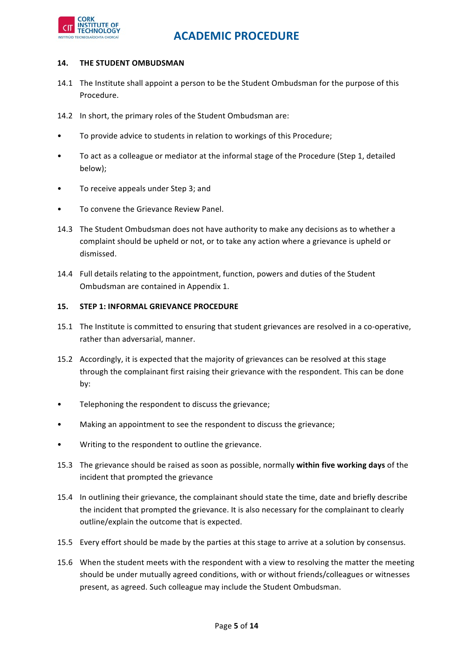

#### **14. THE STUDENT OMBUDSMAN**

- 14.1 The Institute shall appoint a person to be the Student Ombudsman for the purpose of this Procedure.
- 14.2 In short, the primary roles of the Student Ombudsman are:
- To provide advice to students in relation to workings of this Procedure:
- To act as a colleague or mediator at the informal stage of the Procedure (Step 1, detailed below);
- To receive appeals under Step 3; and
- To convene the Grievance Review Panel.
- 14.3 The Student Ombudsman does not have authority to make any decisions as to whether a complaint should be upheld or not, or to take any action where a grievance is upheld or dismissed.
- 14.4 Full details relating to the appointment, function, powers and duties of the Student Ombudsman are contained in Appendix 1.

#### **15. STEP 1: INFORMAL GRIEVANCE PROCEDURE**

- 15.1 The Institute is committed to ensuring that student grievances are resolved in a co-operative, rather than adversarial, manner.
- 15.2 Accordingly, it is expected that the majority of grievances can be resolved at this stage through the complainant first raising their grievance with the respondent. This can be done by:
- Telephoning the respondent to discuss the grievance;
- Making an appointment to see the respondent to discuss the grievance;
- Writing to the respondent to outline the grievance.
- 15.3 The grievance should be raised as soon as possible, normally within five working days of the incident that prompted the grievance
- 15.4 In outlining their grievance, the complainant should state the time, date and briefly describe the incident that prompted the grievance. It is also necessary for the complainant to clearly outline/explain the outcome that is expected.
- 15.5 Every effort should be made by the parties at this stage to arrive at a solution by consensus.
- 15.6 When the student meets with the respondent with a view to resolving the matter the meeting should be under mutually agreed conditions, with or without friends/colleagues or witnesses present, as agreed. Such colleague may include the Student Ombudsman.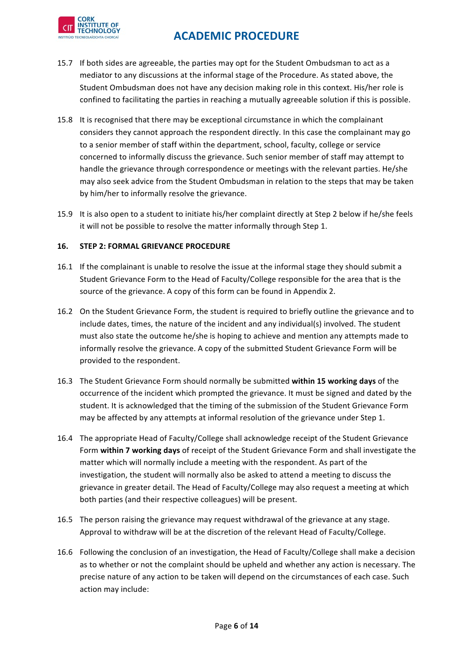

- 15.7 If both sides are agreeable, the parties may opt for the Student Ombudsman to act as a mediator to any discussions at the informal stage of the Procedure. As stated above, the Student Ombudsman does not have any decision making role in this context. His/her role is confined to facilitating the parties in reaching a mutually agreeable solution if this is possible.
- 15.8 It is recognised that there may be exceptional circumstance in which the complainant considers they cannot approach the respondent directly. In this case the complainant may go to a senior member of staff within the department, school, faculty, college or service concerned to informally discuss the grievance. Such senior member of staff may attempt to handle the grievance through correspondence or meetings with the relevant parties. He/she may also seek advice from the Student Ombudsman in relation to the steps that may be taken by him/her to informally resolve the grievance.
- 15.9 It is also open to a student to initiate his/her complaint directly at Step 2 below if he/she feels it will not be possible to resolve the matter informally through Step 1.

### 16. STEP 2: FORMAL GRIEVANCE PROCEDURE

- 16.1 If the complainant is unable to resolve the issue at the informal stage they should submit a Student Grievance Form to the Head of Faculty/College responsible for the area that is the source of the grievance. A copy of this form can be found in Appendix 2.
- 16.2 On the Student Grievance Form, the student is required to briefly outline the grievance and to include dates, times, the nature of the incident and any individual(s) involved. The student must also state the outcome he/she is hoping to achieve and mention any attempts made to informally resolve the grievance. A copy of the submitted Student Grievance Form will be provided to the respondent.
- 16.3 The Student Grievance Form should normally be submitted within 15 working days of the occurrence of the incident which prompted the grievance. It must be signed and dated by the student. It is acknowledged that the timing of the submission of the Student Grievance Form may be affected by any attempts at informal resolution of the grievance under Step 1.
- 16.4 The appropriate Head of Faculty/College shall acknowledge receipt of the Student Grievance Form within 7 working days of receipt of the Student Grievance Form and shall investigate the matter which will normally include a meeting with the respondent. As part of the investigation, the student will normally also be asked to attend a meeting to discuss the grievance in greater detail. The Head of Faculty/College may also request a meeting at which both parties (and their respective colleagues) will be present.
- 16.5 The person raising the grievance may request withdrawal of the grievance at any stage. Approval to withdraw will be at the discretion of the relevant Head of Faculty/College.
- 16.6 Following the conclusion of an investigation, the Head of Faculty/College shall make a decision as to whether or not the complaint should be upheld and whether any action is necessary. The precise nature of any action to be taken will depend on the circumstances of each case. Such action may include: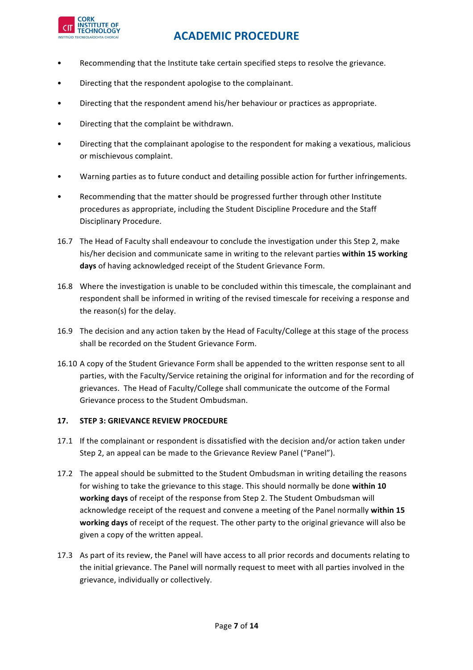

- Recommending that the Institute take certain specified steps to resolve the grievance.
- Directing that the respondent apologise to the complainant.
- Directing that the respondent amend his/her behaviour or practices as appropriate.
- Directing that the complaint be withdrawn.
- Directing that the complainant apologise to the respondent for making a vexatious, malicious or mischievous complaint.
- Warning parties as to future conduct and detailing possible action for further infringements.
- Recommending that the matter should be progressed further through other Institute procedures as appropriate, including the Student Discipline Procedure and the Staff Disciplinary Procedure.
- 16.7 The Head of Faculty shall endeavour to conclude the investigation under this Step 2, make his/her decision and communicate same in writing to the relevant parties within 15 working days of having acknowledged receipt of the Student Grievance Form.
- 16.8 Where the investigation is unable to be concluded within this timescale, the complainant and respondent shall be informed in writing of the revised timescale for receiving a response and the reason(s) for the delay.
- 16.9 The decision and any action taken by the Head of Faculty/College at this stage of the process shall be recorded on the Student Grievance Form.
- 16.10 A copy of the Student Grievance Form shall be appended to the written response sent to all parties, with the Faculty/Service retaining the original for information and for the recording of grievances. The Head of Faculty/College shall communicate the outcome of the Formal Grievance process to the Student Ombudsman.

### 17. STEP 3: GRIEVANCE REVIEW PROCEDURE

- 17.1 If the complainant or respondent is dissatisfied with the decision and/or action taken under Step 2, an appeal can be made to the Grievance Review Panel ("Panel").
- 17.2 The appeal should be submitted to the Student Ombudsman in writing detailing the reasons for wishing to take the grievance to this stage. This should normally be done within 10 **working days** of receipt of the response from Step 2. The Student Ombudsman will acknowledge receipt of the request and convene a meeting of the Panel normally within 15 working days of receipt of the request. The other party to the original grievance will also be given a copy of the written appeal.
- 17.3 As part of its review, the Panel will have access to all prior records and documents relating to the initial grievance. The Panel will normally request to meet with all parties involved in the grievance, individually or collectively.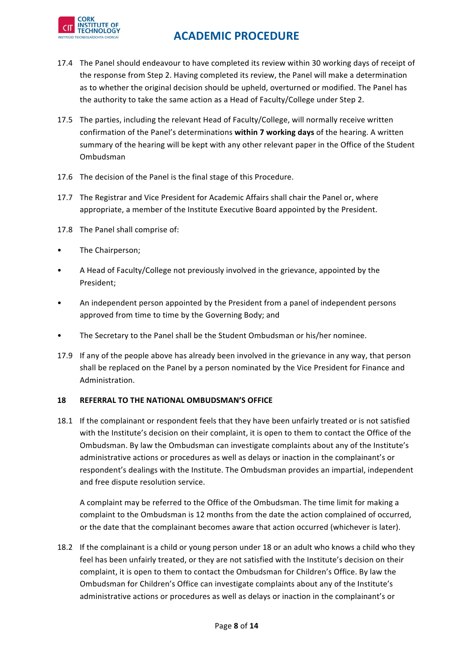

- 17.4 The Panel should endeavour to have completed its review within 30 working days of receipt of the response from Step 2. Having completed its review, the Panel will make a determination as to whether the original decision should be upheld, overturned or modified. The Panel has the authority to take the same action as a Head of Faculty/College under Step 2.
- 17.5 The parties, including the relevant Head of Faculty/College, will normally receive written confirmation of the Panel's determinations within 7 working days of the hearing. A written summary of the hearing will be kept with any other relevant paper in the Office of the Student Ombudsman
- 17.6 The decision of the Panel is the final stage of this Procedure.
- 17.7 The Registrar and Vice President for Academic Affairs shall chair the Panel or, where appropriate, a member of the Institute Executive Board appointed by the President.
- 17.8 The Panel shall comprise of:
- The Chairperson;
- A Head of Faculty/College not previously involved in the grievance, appointed by the President;
- An independent person appointed by the President from a panel of independent persons approved from time to time by the Governing Body; and
- The Secretary to the Panel shall be the Student Ombudsman or his/her nominee.
- 17.9 If any of the people above has already been involved in the grievance in any way, that person shall be replaced on the Panel by a person nominated by the Vice President for Finance and Administration.

### **18 REFERRAL TO THE NATIONAL OMBUDSMAN'S OFFICE**

18.1 If the complainant or respondent feels that they have been unfairly treated or is not satisfied with the Institute's decision on their complaint, it is open to them to contact the Office of the Ombudsman. By law the Ombudsman can investigate complaints about any of the Institute's administrative actions or procedures as well as delays or inaction in the complainant's or respondent's dealings with the Institute. The Ombudsman provides an impartial, independent and free dispute resolution service.

A complaint may be referred to the Office of the Ombudsman. The time limit for making a complaint to the Ombudsman is 12 months from the date the action complained of occurred, or the date that the complainant becomes aware that action occurred (whichever is later).

18.2 If the complainant is a child or young person under 18 or an adult who knows a child who they feel has been unfairly treated, or they are not satisfied with the Institute's decision on their complaint, it is open to them to contact the Ombudsman for Children's Office. By law the Ombudsman for Children's Office can investigate complaints about any of the Institute's administrative actions or procedures as well as delays or inaction in the complainant's or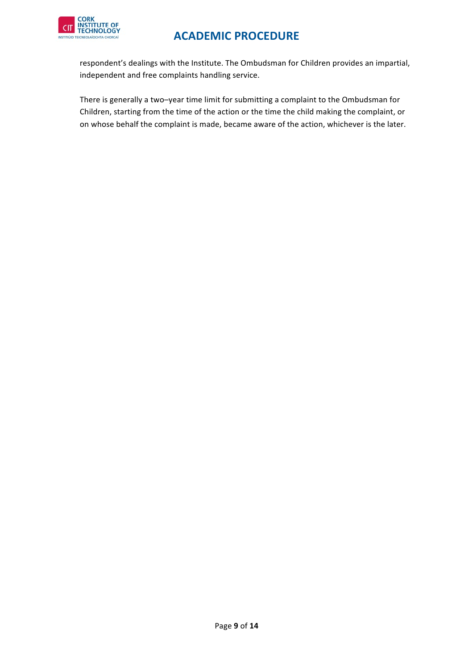

respondent's dealings with the Institute. The Ombudsman for Children provides an impartial, independent and free complaints handling service.

There is generally a two-year time limit for submitting a complaint to the Ombudsman for Children, starting from the time of the action or the time the child making the complaint, or on whose behalf the complaint is made, became aware of the action, whichever is the later.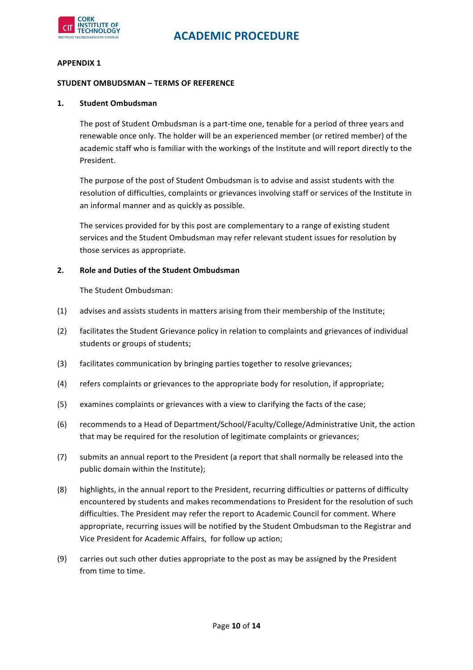

#### **APPENDIX 1**

#### **STUDENT OMBUDSMAN - TERMS OF REFERENCE**

#### **1. Student Ombudsman**

The post of Student Ombudsman is a part-time one, tenable for a period of three years and renewable once only. The holder will be an experienced member (or retired member) of the academic staff who is familiar with the workings of the Institute and will report directly to the President.

The purpose of the post of Student Ombudsman is to advise and assist students with the resolution of difficulties, complaints or grievances involving staff or services of the Institute in an informal manner and as quickly as possible.

The services provided for by this post are complementary to a range of existing student services and the Student Ombudsman may refer relevant student issues for resolution by those services as appropriate.

#### **2. Role and Duties of the Student Ombudsman**

The Student Ombudsman:

- (1) advises and assists students in matters arising from their membership of the Institute;
- (2) facilitates the Student Grievance policy in relation to complaints and grievances of individual students or groups of students;
- (3) facilitates communication by bringing parties together to resolve grievances;
- (4) refers complaints or grievances to the appropriate body for resolution, if appropriate;
- (5) examines complaints or grievances with a view to clarifying the facts of the case;
- (6) recommends to a Head of Department/School/Faculty/College/Administrative Unit, the action that may be required for the resolution of legitimate complaints or grievances;
- (7) submits an annual report to the President (a report that shall normally be released into the public domain within the Institute):
- (8) highlights, in the annual report to the President, recurring difficulties or patterns of difficulty encountered by students and makes recommendations to President for the resolution of such difficulties. The President may refer the report to Academic Council for comment. Where appropriate, recurring issues will be notified by the Student Ombudsman to the Registrar and Vice President for Academic Affairs, for follow up action;
- (9) carries out such other duties appropriate to the post as may be assigned by the President from time to time.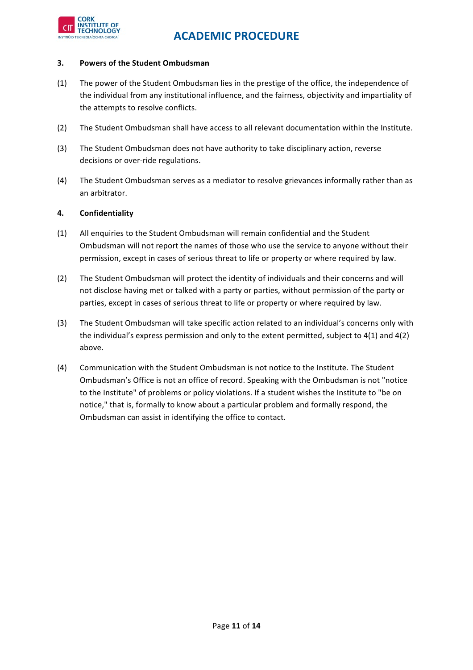

#### **3.** Powers of the Student Ombudsman

- (1) The power of the Student Ombudsman lies in the prestige of the office, the independence of the individual from any institutional influence, and the fairness, objectivity and impartiality of the attempts to resolve conflicts.
- (2) The Student Ombudsman shall have access to all relevant documentation within the Institute.
- (3) The Student Ombudsman does not have authority to take disciplinary action, reverse decisions or over-ride regulations.
- (4) The Student Ombudsman serves as a mediator to resolve grievances informally rather than as an arbitrator.

### **4. Confidentiality**

- (1) All enquiries to the Student Ombudsman will remain confidential and the Student Ombudsman will not report the names of those who use the service to anyone without their permission, except in cases of serious threat to life or property or where required by law.
- (2) The Student Ombudsman will protect the identity of individuals and their concerns and will not disclose having met or talked with a party or parties, without permission of the party or parties, except in cases of serious threat to life or property or where required by law.
- (3) The Student Ombudsman will take specific action related to an individual's concerns only with the individual's express permission and only to the extent permitted, subject to  $4(1)$  and  $4(2)$ above.
- (4) Communication with the Student Ombudsman is not notice to the Institute. The Student Ombudsman's Office is not an office of record. Speaking with the Ombudsman is not "notice to the Institute" of problems or policy violations. If a student wishes the Institute to "be on notice," that is, formally to know about a particular problem and formally respond, the Ombudsman can assist in identifying the office to contact.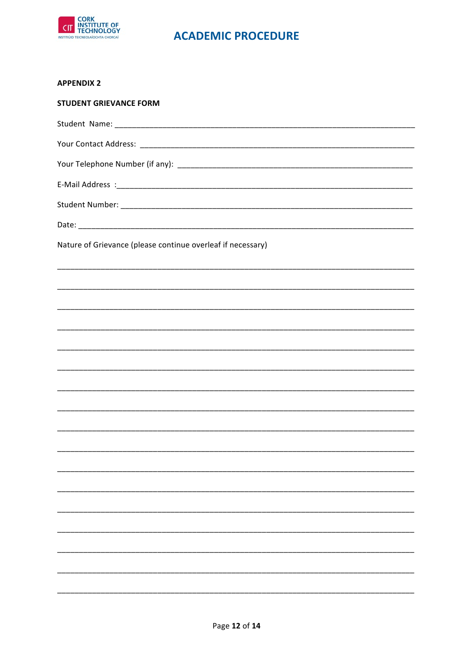

### **APPENDIX 2**

| <b>STUDENT GRIEVANCE FORM</b>                                                                                       |
|---------------------------------------------------------------------------------------------------------------------|
|                                                                                                                     |
|                                                                                                                     |
|                                                                                                                     |
|                                                                                                                     |
|                                                                                                                     |
|                                                                                                                     |
| Nature of Grievance (please continue overleaf if necessary)                                                         |
|                                                                                                                     |
|                                                                                                                     |
|                                                                                                                     |
| <u> 1989 - 1989 - 1989 - 1989 - 1989 - 1989 - 1989 - 1989 - 1989 - 1989 - 1989 - 1989 - 1989 - 1989 - 1989 - 19</u> |
|                                                                                                                     |
|                                                                                                                     |
|                                                                                                                     |
|                                                                                                                     |
|                                                                                                                     |
|                                                                                                                     |
|                                                                                                                     |
|                                                                                                                     |
|                                                                                                                     |
|                                                                                                                     |
|                                                                                                                     |
|                                                                                                                     |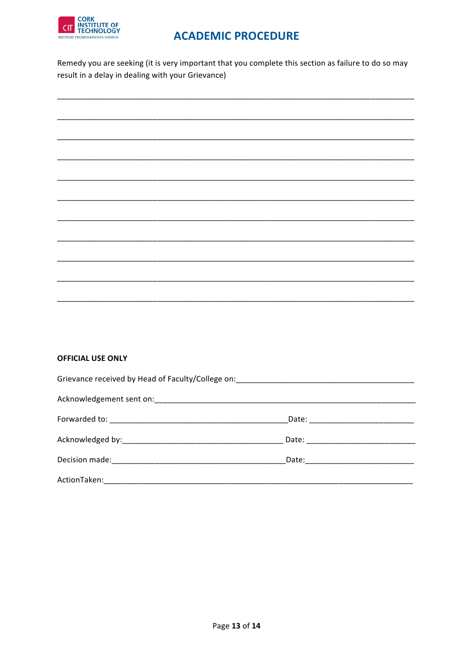

Remedy you are seeking (it is very important that you complete this section as failure to do so may result in a delay in dealing with your Grievance)

### **OFFICIAL USE ONLY**